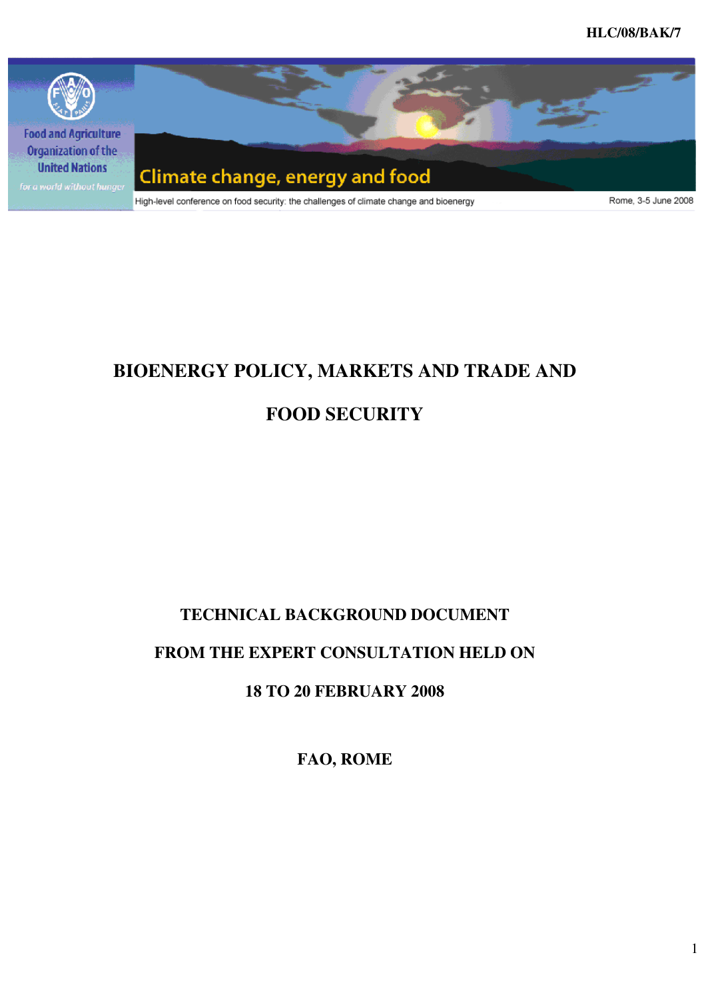**HLC/08/BAK/7** 



# **BIOENERGY POLICY, MARKETS AND TRADE AND**

# **FOOD SECURITY**

# **TECHNICAL BACKGROUND DOCUMENT**

# **FROM THE EXPERT CONSULTATION HELD ON**

# **18 TO 20 FEBRUARY 2008**

**FAO, ROME**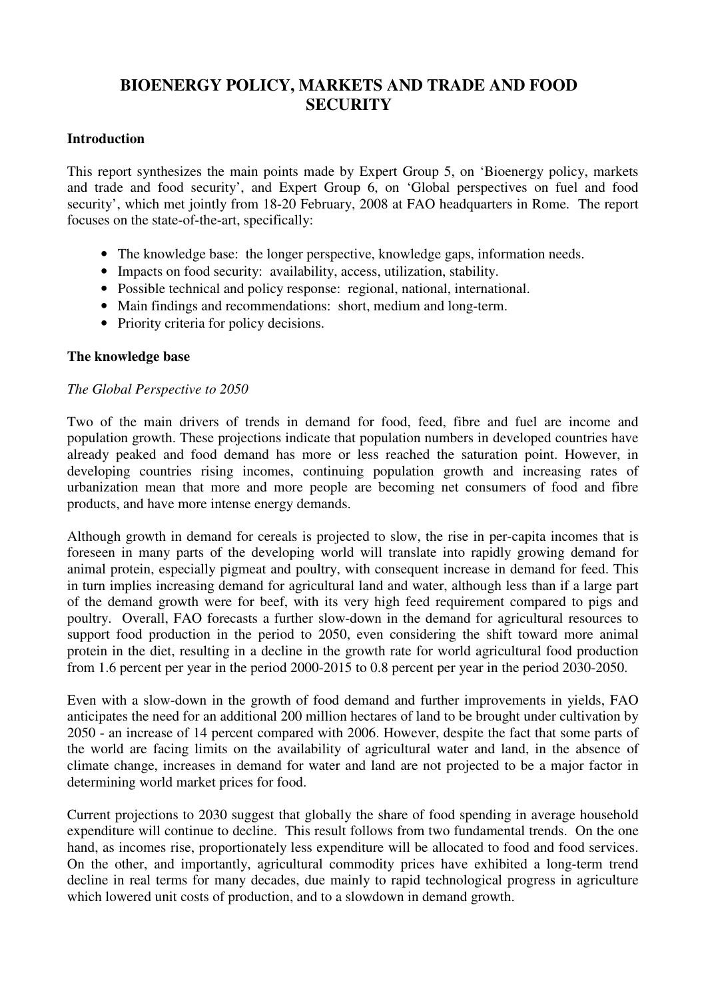# **BIOENERGY POLICY, MARKETS AND TRADE AND FOOD SECURITY**

#### **Introduction**

This report synthesizes the main points made by Expert Group 5, on 'Bioenergy policy, markets and trade and food security', and Expert Group 6, on 'Global perspectives on fuel and food security', which met jointly from 18-20 February, 2008 at FAO headquarters in Rome. The report focuses on the state-of-the-art, specifically:

- The knowledge base: the longer perspective, knowledge gaps, information needs.
- Impacts on food security: availability, access, utilization, stability.
- Possible technical and policy response: regional, national, international.
- Main findings and recommendations: short, medium and long-term.
- Priority criteria for policy decisions.

#### **The knowledge base**

#### *The Global Perspective to 2050*

Two of the main drivers of trends in demand for food, feed, fibre and fuel are income and population growth. These projections indicate that population numbers in developed countries have already peaked and food demand has more or less reached the saturation point. However, in developing countries rising incomes, continuing population growth and increasing rates of urbanization mean that more and more people are becoming net consumers of food and fibre products, and have more intense energy demands.

Although growth in demand for cereals is projected to slow, the rise in per-capita incomes that is foreseen in many parts of the developing world will translate into rapidly growing demand for animal protein, especially pigmeat and poultry, with consequent increase in demand for feed. This in turn implies increasing demand for agricultural land and water, although less than if a large part of the demand growth were for beef, with its very high feed requirement compared to pigs and poultry. Overall, FAO forecasts a further slow-down in the demand for agricultural resources to support food production in the period to 2050, even considering the shift toward more animal protein in the diet, resulting in a decline in the growth rate for world agricultural food production from 1.6 percent per year in the period 2000-2015 to 0.8 percent per year in the period 2030-2050.

Even with a slow-down in the growth of food demand and further improvements in yields, FAO anticipates the need for an additional 200 million hectares of land to be brought under cultivation by 2050 - an increase of 14 percent compared with 2006. However, despite the fact that some parts of the world are facing limits on the availability of agricultural water and land, in the absence of climate change, increases in demand for water and land are not projected to be a major factor in determining world market prices for food.

Current projections to 2030 suggest that globally the share of food spending in average household expenditure will continue to decline. This result follows from two fundamental trends. On the one hand, as incomes rise, proportionately less expenditure will be allocated to food and food services. On the other, and importantly, agricultural commodity prices have exhibited a long-term trend decline in real terms for many decades, due mainly to rapid technological progress in agriculture which lowered unit costs of production, and to a slowdown in demand growth.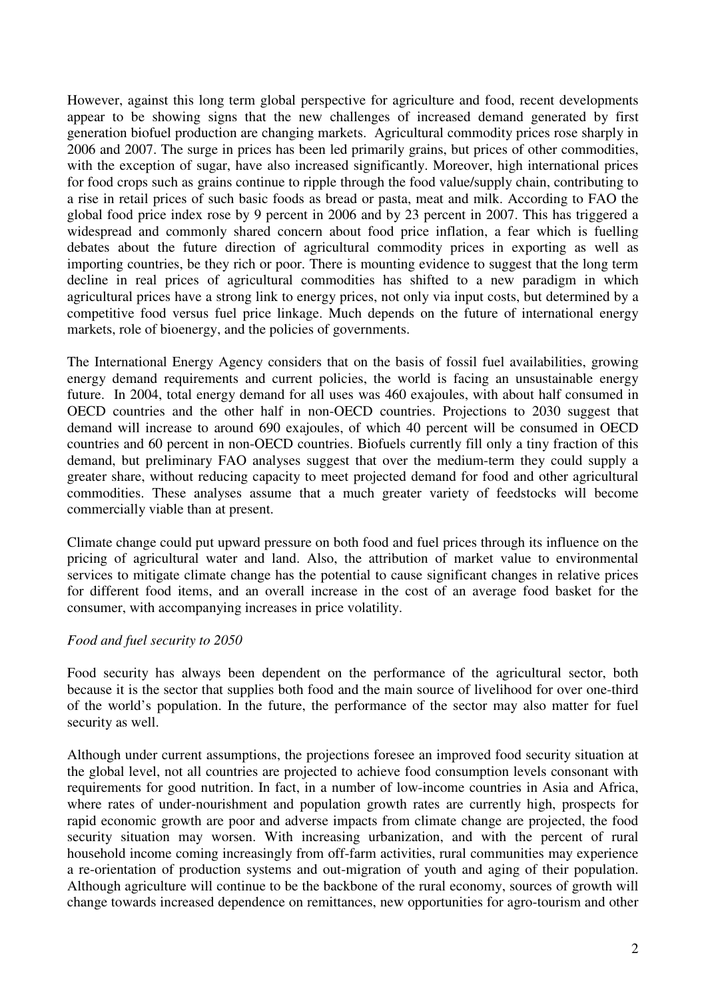However, against this long term global perspective for agriculture and food, recent developments appear to be showing signs that the new challenges of increased demand generated by first generation biofuel production are changing markets. Agricultural commodity prices rose sharply in 2006 and 2007. The surge in prices has been led primarily grains, but prices of other commodities, with the exception of sugar, have also increased significantly. Moreover, high international prices for food crops such as grains continue to ripple through the food value/supply chain, contributing to a rise in retail prices of such basic foods as bread or pasta, meat and milk. According to FAO the global food price index rose by 9 percent in 2006 and by 23 percent in 2007. This has triggered a widespread and commonly shared concern about food price inflation, a fear which is fuelling debates about the future direction of agricultural commodity prices in exporting as well as importing countries, be they rich or poor. There is mounting evidence to suggest that the long term decline in real prices of agricultural commodities has shifted to a new paradigm in which agricultural prices have a strong link to energy prices, not only via input costs, but determined by a competitive food versus fuel price linkage. Much depends on the future of international energy markets, role of bioenergy, and the policies of governments.

The International Energy Agency considers that on the basis of fossil fuel availabilities, growing energy demand requirements and current policies, the world is facing an unsustainable energy future. In 2004, total energy demand for all uses was 460 exajoules, with about half consumed in OECD countries and the other half in non-OECD countries. Projections to 2030 suggest that demand will increase to around 690 exajoules, of which 40 percent will be consumed in OECD countries and 60 percent in non-OECD countries. Biofuels currently fill only a tiny fraction of this demand, but preliminary FAO analyses suggest that over the medium-term they could supply a greater share, without reducing capacity to meet projected demand for food and other agricultural commodities. These analyses assume that a much greater variety of feedstocks will become commercially viable than at present.

Climate change could put upward pressure on both food and fuel prices through its influence on the pricing of agricultural water and land. Also, the attribution of market value to environmental services to mitigate climate change has the potential to cause significant changes in relative prices for different food items, and an overall increase in the cost of an average food basket for the consumer, with accompanying increases in price volatility.

# *Food and fuel security to 2050*

Food security has always been dependent on the performance of the agricultural sector, both because it is the sector that supplies both food and the main source of livelihood for over one-third of the world's population. In the future, the performance of the sector may also matter for fuel security as well.

Although under current assumptions, the projections foresee an improved food security situation at the global level, not all countries are projected to achieve food consumption levels consonant with requirements for good nutrition. In fact, in a number of low-income countries in Asia and Africa, where rates of under-nourishment and population growth rates are currently high, prospects for rapid economic growth are poor and adverse impacts from climate change are projected, the food security situation may worsen. With increasing urbanization, and with the percent of rural household income coming increasingly from off-farm activities, rural communities may experience a re-orientation of production systems and out-migration of youth and aging of their population. Although agriculture will continue to be the backbone of the rural economy, sources of growth will change towards increased dependence on remittances, new opportunities for agro-tourism and other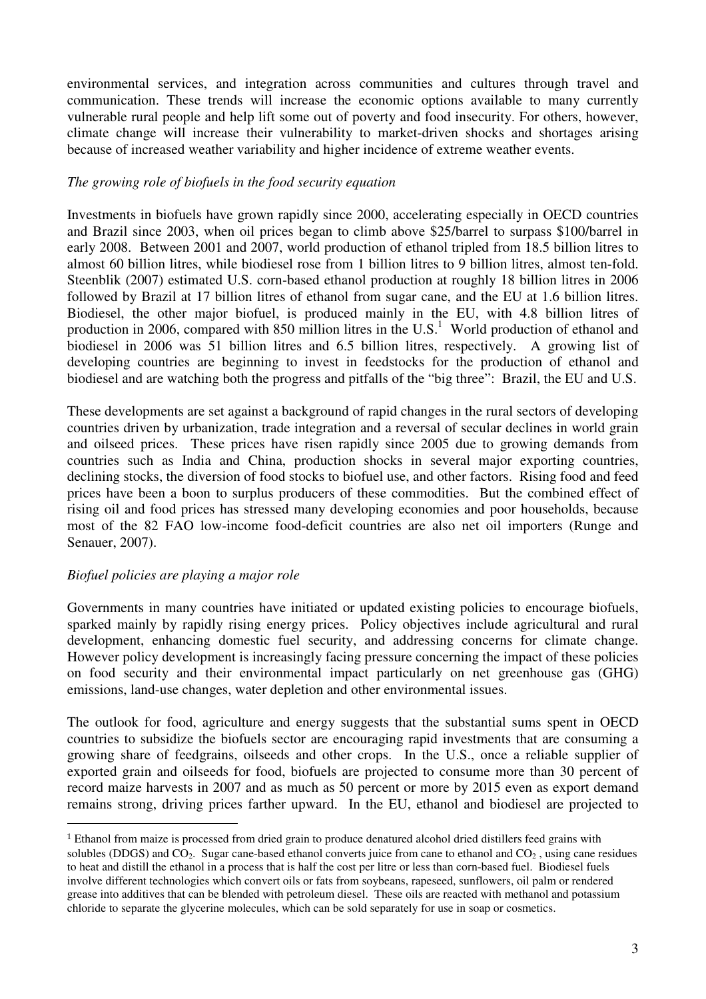environmental services, and integration across communities and cultures through travel and communication. These trends will increase the economic options available to many currently vulnerable rural people and help lift some out of poverty and food insecurity. For others, however, climate change will increase their vulnerability to market-driven shocks and shortages arising because of increased weather variability and higher incidence of extreme weather events.

#### *The growing role of biofuels in the food security equation*

Investments in biofuels have grown rapidly since 2000, accelerating especially in OECD countries and Brazil since 2003, when oil prices began to climb above \$25/barrel to surpass \$100/barrel in early 2008. Between 2001 and 2007, world production of ethanol tripled from 18.5 billion litres to almost 60 billion litres, while biodiesel rose from 1 billion litres to 9 billion litres, almost ten-fold. Steenblik (2007) estimated U.S. corn-based ethanol production at roughly 18 billion litres in 2006 followed by Brazil at 17 billion litres of ethanol from sugar cane, and the EU at 1.6 billion litres. Biodiesel, the other major biofuel, is produced mainly in the EU, with 4.8 billion litres of production in 2006, compared with 850 million litres in the U.S.<sup>1</sup> World production of ethanol and biodiesel in 2006 was 51 billion litres and 6.5 billion litres, respectively. A growing list of developing countries are beginning to invest in feedstocks for the production of ethanol and biodiesel and are watching both the progress and pitfalls of the "big three": Brazil, the EU and U.S.

These developments are set against a background of rapid changes in the rural sectors of developing countries driven by urbanization, trade integration and a reversal of secular declines in world grain and oilseed prices. These prices have risen rapidly since 2005 due to growing demands from countries such as India and China, production shocks in several major exporting countries, declining stocks, the diversion of food stocks to biofuel use, and other factors. Rising food and feed prices have been a boon to surplus producers of these commodities. But the combined effect of rising oil and food prices has stressed many developing economies and poor households, because most of the 82 FAO low-income food-deficit countries are also net oil importers (Runge and Senauer, 2007).

# *Biofuel policies are playing a major role*

 $\overline{a}$ 

Governments in many countries have initiated or updated existing policies to encourage biofuels, sparked mainly by rapidly rising energy prices. Policy objectives include agricultural and rural development, enhancing domestic fuel security, and addressing concerns for climate change. However policy development is increasingly facing pressure concerning the impact of these policies on food security and their environmental impact particularly on net greenhouse gas (GHG) emissions, land-use changes, water depletion and other environmental issues.

The outlook for food, agriculture and energy suggests that the substantial sums spent in OECD countries to subsidize the biofuels sector are encouraging rapid investments that are consuming a growing share of feedgrains, oilseeds and other crops. In the U.S., once a reliable supplier of exported grain and oilseeds for food, biofuels are projected to consume more than 30 percent of record maize harvests in 2007 and as much as 50 percent or more by 2015 even as export demand remains strong, driving prices farther upward. In the EU, ethanol and biodiesel are projected to

<sup>1</sup> Ethanol from maize is processed from dried grain to produce denatured alcohol dried distillers feed grains with solubles (DDGS) and  $CO<sub>2</sub>$ . Sugar cane-based ethanol converts juice from cane to ethanol and  $CO<sub>2</sub>$ , using cane residues to heat and distill the ethanol in a process that is half the cost per litre or less than corn-based fuel. Biodiesel fuels involve different technologies which convert oils or fats from soybeans, rapeseed, sunflowers, oil palm or rendered grease into additives that can be blended with petroleum diesel. These oils are reacted with methanol and potassium chloride to separate the glycerine molecules, which can be sold separately for use in soap or cosmetics.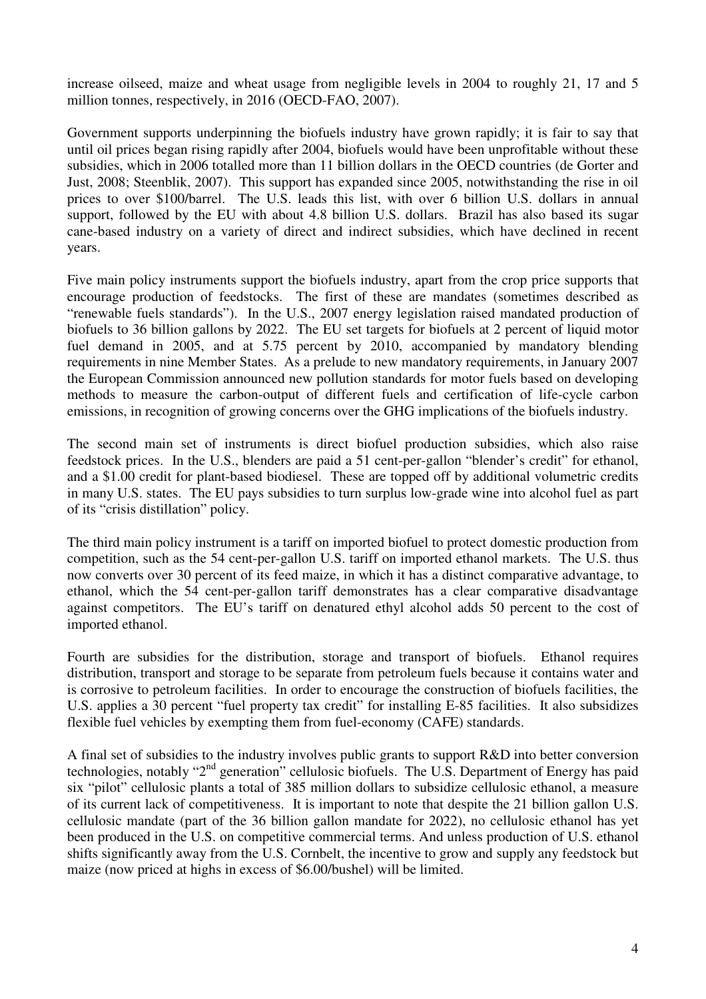increase oilseed, maize and wheat usage from negligible levels in 2004 to roughly 21, 17 and 5 million tonnes, respectively, in 2016 (OECD-FAO, 2007).

Government supports underpinning the biofuels industry have grown rapidly; it is fair to say that until oil prices began rising rapidly after 2004, biofuels would have been unprofitable without these subsidies, which in 2006 totalled more than 11 billion dollars in the OECD countries (de Gorter and Just, 2008; Steenblik, 2007). This support has expanded since 2005, notwithstanding the rise in oil prices to over \$100/barrel. The U.S. leads this list, with over 6 billion U.S. dollars in annual support, followed by the EU with about 4.8 billion U.S. dollars. Brazil has also based its sugar cane-based industry on a variety of direct and indirect subsidies, which have declined in recent years.

Five main policy instruments support the biofuels industry, apart from the crop price supports that encourage production of feedstocks. The first of these are mandates (sometimes described as "renewable fuels standards"). In the U.S., 2007 energy legislation raised mandated production of biofuels to 36 billion gallons by 2022. The EU set targets for biofuels at 2 percent of liquid motor fuel demand in 2005, and at 5.75 percent by 2010, accompanied by mandatory blending requirements in nine Member States. As a prelude to new mandatory requirements, in January 2007 the European Commission announced new pollution standards for motor fuels based on developing methods to measure the carbon-output of different fuels and certification of life-cycle carbon emissions, in recognition of growing concerns over the GHG implications of the biofuels industry.

The second main set of instruments is direct biofuel production subsidies, which also raise feedstock prices. In the U.S., blenders are paid a 51 cent-per-gallon "blender's credit" for ethanol, and a \$1.00 credit for plant-based biodiesel. These are topped off by additional volumetric credits in many U.S. states. The EU pays subsidies to turn surplus low-grade wine into alcohol fuel as part of its "crisis distillation" policy.

The third main policy instrument is a tariff on imported biofuel to protect domestic production from competition, such as the 54 cent-per-gallon U.S. tariff on imported ethanol markets. The U.S. thus now converts over 30 percent of its feed maize, in which it has a distinct comparative advantage, to ethanol, which the 54 cent-per-gallon tariff demonstrates has a clear comparative disadvantage against competitors. The EU's tariff on denatured ethyl alcohol adds 50 percent to the cost of imported ethanol.

Fourth are subsidies for the distribution, storage and transport of biofuels. Ethanol requires distribution, transport and storage to be separate from petroleum fuels because it contains water and is corrosive to petroleum facilities. In order to encourage the construction of biofuels facilities, the U.S. applies a 30 percent "fuel property tax credit" for installing E-85 facilities. It also subsidizes flexible fuel vehicles by exempting them from fuel-economy (CAFE) standards.

A final set of subsidies to the industry involves public grants to support R&D into better conversion technologies, notably "2<sup>nd</sup> generation" cellulosic biofuels. The U.S. Department of Energy has paid six "pilot" cellulosic plants a total of 385 million dollars to subsidize cellulosic ethanol, a measure of its current lack of competitiveness. It is important to note that despite the 21 billion gallon U.S. cellulosic mandate (part of the 36 billion gallon mandate for 2022), no cellulosic ethanol has yet been produced in the U.S. on competitive commercial terms. And unless production of U.S. ethanol shifts significantly away from the U.S. Cornbelt, the incentive to grow and supply any feedstock but maize (now priced at highs in excess of \$6.00/bushel) will be limited.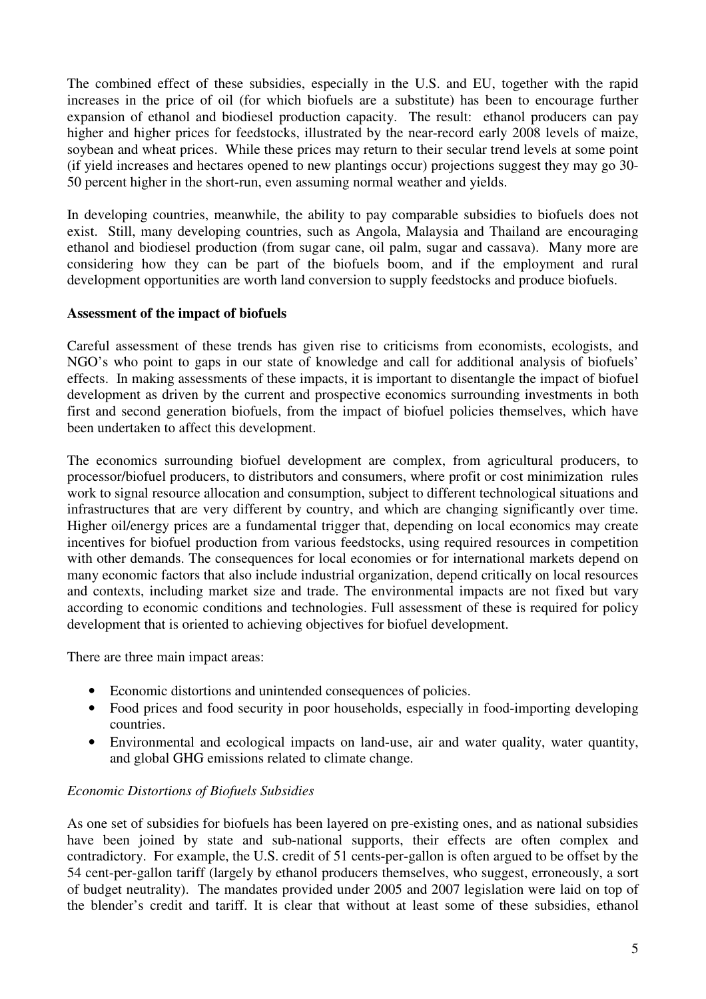The combined effect of these subsidies, especially in the U.S. and EU, together with the rapid increases in the price of oil (for which biofuels are a substitute) has been to encourage further expansion of ethanol and biodiesel production capacity. The result: ethanol producers can pay higher and higher prices for feedstocks, illustrated by the near-record early 2008 levels of maize, soybean and wheat prices. While these prices may return to their secular trend levels at some point (if yield increases and hectares opened to new plantings occur) projections suggest they may go 30- 50 percent higher in the short-run, even assuming normal weather and yields.

In developing countries, meanwhile, the ability to pay comparable subsidies to biofuels does not exist. Still, many developing countries, such as Angola, Malaysia and Thailand are encouraging ethanol and biodiesel production (from sugar cane, oil palm, sugar and cassava). Many more are considering how they can be part of the biofuels boom, and if the employment and rural development opportunities are worth land conversion to supply feedstocks and produce biofuels.

# **Assessment of the impact of biofuels**

Careful assessment of these trends has given rise to criticisms from economists, ecologists, and NGO's who point to gaps in our state of knowledge and call for additional analysis of biofuels' effects. In making assessments of these impacts, it is important to disentangle the impact of biofuel development as driven by the current and prospective economics surrounding investments in both first and second generation biofuels, from the impact of biofuel policies themselves, which have been undertaken to affect this development.

The economics surrounding biofuel development are complex, from agricultural producers, to processor/biofuel producers, to distributors and consumers, where profit or cost minimization rules work to signal resource allocation and consumption, subject to different technological situations and infrastructures that are very different by country, and which are changing significantly over time. Higher oil/energy prices are a fundamental trigger that, depending on local economics may create incentives for biofuel production from various feedstocks, using required resources in competition with other demands. The consequences for local economies or for international markets depend on many economic factors that also include industrial organization, depend critically on local resources and contexts, including market size and trade. The environmental impacts are not fixed but vary according to economic conditions and technologies. Full assessment of these is required for policy development that is oriented to achieving objectives for biofuel development.

There are three main impact areas:

- Economic distortions and unintended consequences of policies.
- Food prices and food security in poor households, especially in food-importing developing countries.
- Environmental and ecological impacts on land-use, air and water quality, water quantity, and global GHG emissions related to climate change.

#### *Economic Distortions of Biofuels Subsidies*

As one set of subsidies for biofuels has been layered on pre-existing ones, and as national subsidies have been joined by state and sub-national supports, their effects are often complex and contradictory. For example, the U.S. credit of 51 cents-per-gallon is often argued to be offset by the 54 cent-per-gallon tariff (largely by ethanol producers themselves, who suggest, erroneously, a sort of budget neutrality). The mandates provided under 2005 and 2007 legislation were laid on top of the blender's credit and tariff. It is clear that without at least some of these subsidies, ethanol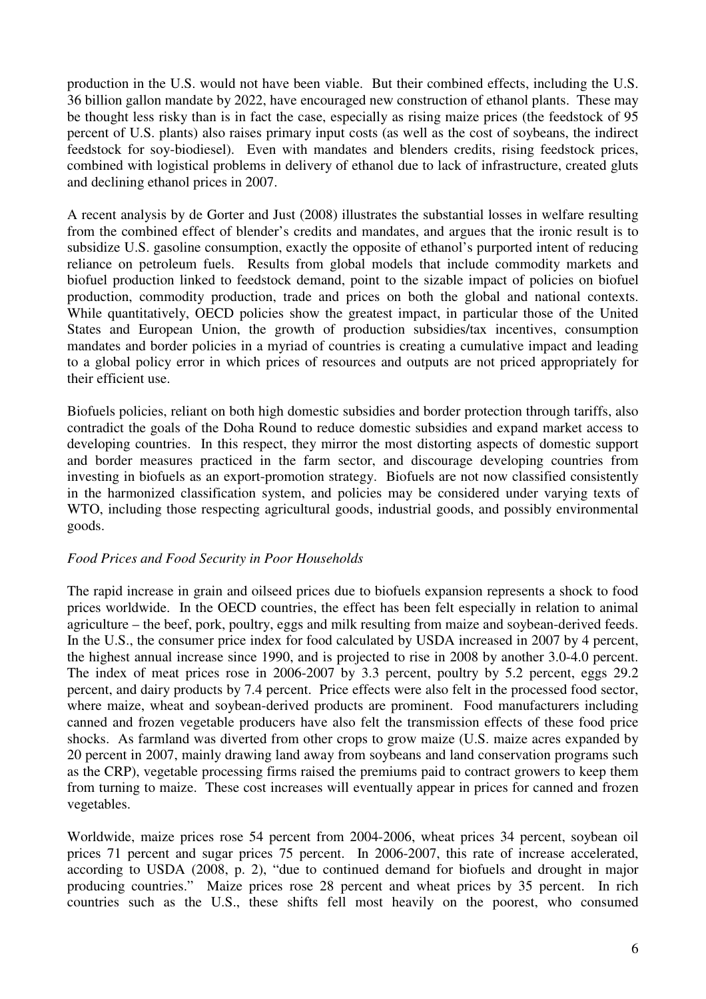production in the U.S. would not have been viable. But their combined effects, including the U.S. 36 billion gallon mandate by 2022, have encouraged new construction of ethanol plants. These may be thought less risky than is in fact the case, especially as rising maize prices (the feedstock of 95 percent of U.S. plants) also raises primary input costs (as well as the cost of soybeans, the indirect feedstock for soy-biodiesel). Even with mandates and blenders credits, rising feedstock prices, combined with logistical problems in delivery of ethanol due to lack of infrastructure, created gluts and declining ethanol prices in 2007.

A recent analysis by de Gorter and Just (2008) illustrates the substantial losses in welfare resulting from the combined effect of blender's credits and mandates, and argues that the ironic result is to subsidize U.S. gasoline consumption, exactly the opposite of ethanol's purported intent of reducing reliance on petroleum fuels. Results from global models that include commodity markets and biofuel production linked to feedstock demand, point to the sizable impact of policies on biofuel production, commodity production, trade and prices on both the global and national contexts. While quantitatively, OECD policies show the greatest impact, in particular those of the United States and European Union, the growth of production subsidies/tax incentives, consumption mandates and border policies in a myriad of countries is creating a cumulative impact and leading to a global policy error in which prices of resources and outputs are not priced appropriately for their efficient use.

Biofuels policies, reliant on both high domestic subsidies and border protection through tariffs, also contradict the goals of the Doha Round to reduce domestic subsidies and expand market access to developing countries. In this respect, they mirror the most distorting aspects of domestic support and border measures practiced in the farm sector, and discourage developing countries from investing in biofuels as an export-promotion strategy. Biofuels are not now classified consistently in the harmonized classification system, and policies may be considered under varying texts of WTO, including those respecting agricultural goods, industrial goods, and possibly environmental goods.

# *Food Prices and Food Security in Poor Households*

The rapid increase in grain and oilseed prices due to biofuels expansion represents a shock to food prices worldwide. In the OECD countries, the effect has been felt especially in relation to animal agriculture – the beef, pork, poultry, eggs and milk resulting from maize and soybean-derived feeds. In the U.S., the consumer price index for food calculated by USDA increased in 2007 by 4 percent, the highest annual increase since 1990, and is projected to rise in 2008 by another 3.0-4.0 percent. The index of meat prices rose in 2006-2007 by 3.3 percent, poultry by 5.2 percent, eggs 29.2 percent, and dairy products by 7.4 percent. Price effects were also felt in the processed food sector, where maize, wheat and soybean-derived products are prominent. Food manufacturers including canned and frozen vegetable producers have also felt the transmission effects of these food price shocks. As farmland was diverted from other crops to grow maize (U.S. maize acres expanded by 20 percent in 2007, mainly drawing land away from soybeans and land conservation programs such as the CRP), vegetable processing firms raised the premiums paid to contract growers to keep them from turning to maize. These cost increases will eventually appear in prices for canned and frozen vegetables.

Worldwide, maize prices rose 54 percent from 2004-2006, wheat prices 34 percent, soybean oil prices 71 percent and sugar prices 75 percent. In 2006-2007, this rate of increase accelerated, according to USDA (2008, p. 2), "due to continued demand for biofuels and drought in major producing countries." Maize prices rose 28 percent and wheat prices by 35 percent. In rich countries such as the U.S., these shifts fell most heavily on the poorest, who consumed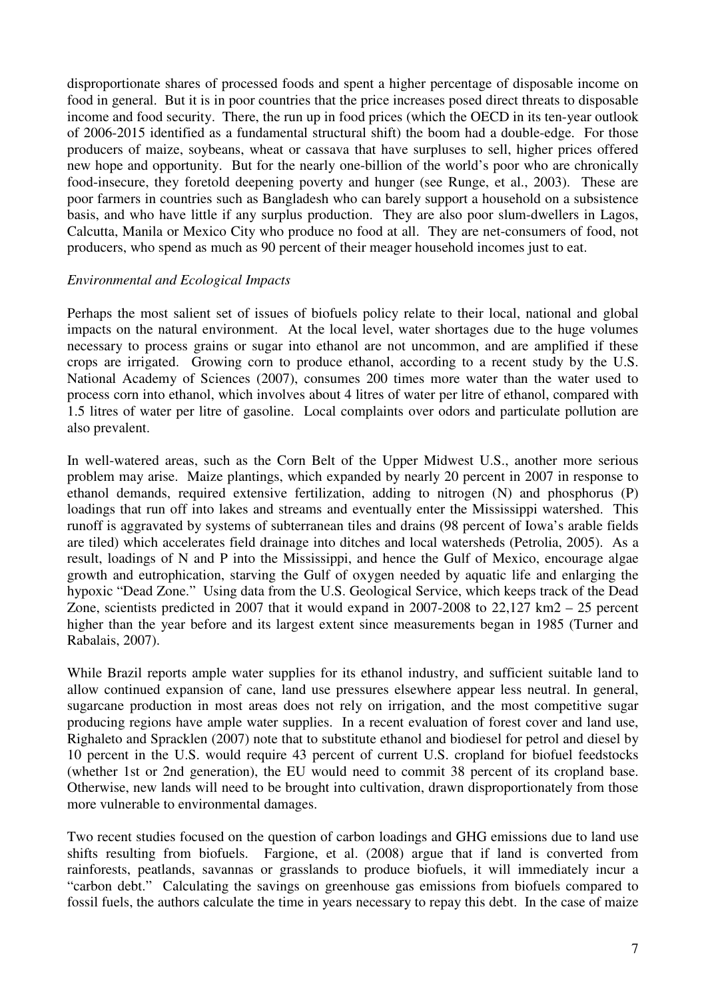disproportionate shares of processed foods and spent a higher percentage of disposable income on food in general. But it is in poor countries that the price increases posed direct threats to disposable income and food security. There, the run up in food prices (which the OECD in its ten-year outlook of 2006-2015 identified as a fundamental structural shift) the boom had a double-edge. For those producers of maize, soybeans, wheat or cassava that have surpluses to sell, higher prices offered new hope and opportunity. But for the nearly one-billion of the world's poor who are chronically food-insecure, they foretold deepening poverty and hunger (see Runge, et al., 2003). These are poor farmers in countries such as Bangladesh who can barely support a household on a subsistence basis, and who have little if any surplus production. They are also poor slum-dwellers in Lagos, Calcutta, Manila or Mexico City who produce no food at all. They are net-consumers of food, not producers, who spend as much as 90 percent of their meager household incomes just to eat.

#### *Environmental and Ecological Impacts*

Perhaps the most salient set of issues of biofuels policy relate to their local, national and global impacts on the natural environment. At the local level, water shortages due to the huge volumes necessary to process grains or sugar into ethanol are not uncommon, and are amplified if these crops are irrigated. Growing corn to produce ethanol, according to a recent study by the U.S. National Academy of Sciences (2007), consumes 200 times more water than the water used to process corn into ethanol, which involves about 4 litres of water per litre of ethanol, compared with 1.5 litres of water per litre of gasoline. Local complaints over odors and particulate pollution are also prevalent.

In well-watered areas, such as the Corn Belt of the Upper Midwest U.S., another more serious problem may arise. Maize plantings, which expanded by nearly 20 percent in 2007 in response to ethanol demands, required extensive fertilization, adding to nitrogen (N) and phosphorus (P) loadings that run off into lakes and streams and eventually enter the Mississippi watershed. This runoff is aggravated by systems of subterranean tiles and drains (98 percent of Iowa's arable fields are tiled) which accelerates field drainage into ditches and local watersheds (Petrolia, 2005). As a result, loadings of N and P into the Mississippi, and hence the Gulf of Mexico, encourage algae growth and eutrophication, starving the Gulf of oxygen needed by aquatic life and enlarging the hypoxic "Dead Zone." Using data from the U.S. Geological Service, which keeps track of the Dead Zone, scientists predicted in 2007 that it would expand in 2007-2008 to 22,127 km2 – 25 percent higher than the year before and its largest extent since measurements began in 1985 (Turner and Rabalais, 2007).

While Brazil reports ample water supplies for its ethanol industry, and sufficient suitable land to allow continued expansion of cane, land use pressures elsewhere appear less neutral. In general, sugarcane production in most areas does not rely on irrigation, and the most competitive sugar producing regions have ample water supplies. In a recent evaluation of forest cover and land use, Righaleto and Spracklen (2007) note that to substitute ethanol and biodiesel for petrol and diesel by 10 percent in the U.S. would require 43 percent of current U.S. cropland for biofuel feedstocks (whether 1st or 2nd generation), the EU would need to commit 38 percent of its cropland base. Otherwise, new lands will need to be brought into cultivation, drawn disproportionately from those more vulnerable to environmental damages.

Two recent studies focused on the question of carbon loadings and GHG emissions due to land use shifts resulting from biofuels. Fargione, et al. (2008) argue that if land is converted from rainforests, peatlands, savannas or grasslands to produce biofuels, it will immediately incur a "carbon debt." Calculating the savings on greenhouse gas emissions from biofuels compared to fossil fuels, the authors calculate the time in years necessary to repay this debt. In the case of maize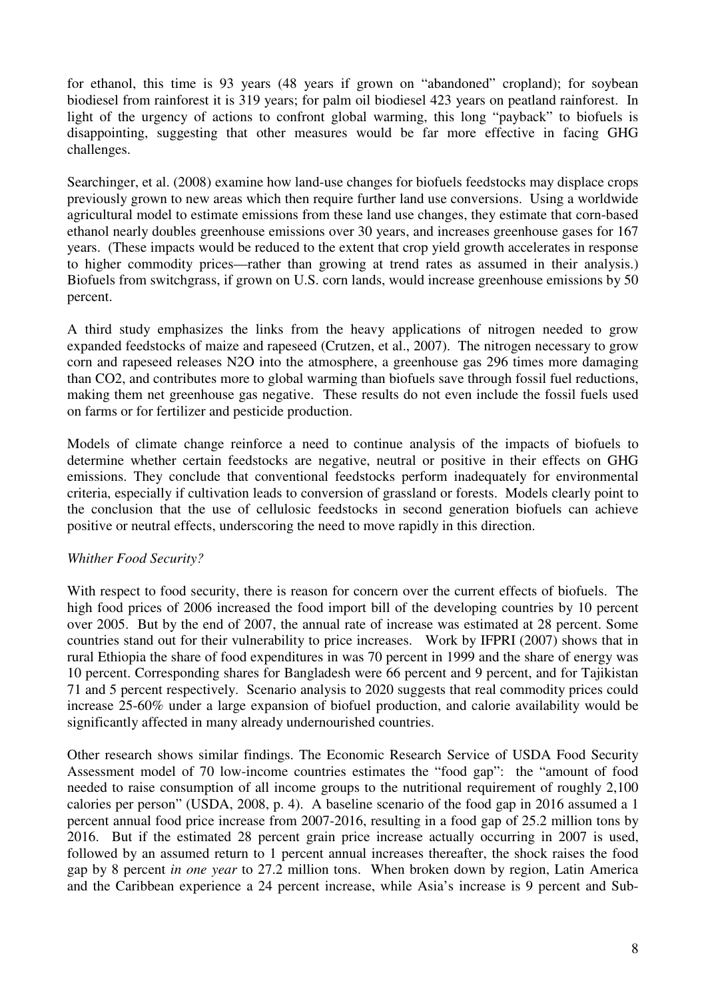for ethanol, this time is 93 years (48 years if grown on "abandoned" cropland); for soybean biodiesel from rainforest it is 319 years; for palm oil biodiesel 423 years on peatland rainforest. In light of the urgency of actions to confront global warming, this long "payback" to biofuels is disappointing, suggesting that other measures would be far more effective in facing GHG challenges.

Searchinger, et al. (2008) examine how land-use changes for biofuels feedstocks may displace crops previously grown to new areas which then require further land use conversions. Using a worldwide agricultural model to estimate emissions from these land use changes, they estimate that corn-based ethanol nearly doubles greenhouse emissions over 30 years, and increases greenhouse gases for 167 years. (These impacts would be reduced to the extent that crop yield growth accelerates in response to higher commodity prices—rather than growing at trend rates as assumed in their analysis.) Biofuels from switchgrass, if grown on U.S. corn lands, would increase greenhouse emissions by 50 percent.

A third study emphasizes the links from the heavy applications of nitrogen needed to grow expanded feedstocks of maize and rapeseed (Crutzen, et al., 2007). The nitrogen necessary to grow corn and rapeseed releases N2O into the atmosphere, a greenhouse gas 296 times more damaging than CO2, and contributes more to global warming than biofuels save through fossil fuel reductions, making them net greenhouse gas negative. These results do not even include the fossil fuels used on farms or for fertilizer and pesticide production.

Models of climate change reinforce a need to continue analysis of the impacts of biofuels to determine whether certain feedstocks are negative, neutral or positive in their effects on GHG emissions. They conclude that conventional feedstocks perform inadequately for environmental criteria, especially if cultivation leads to conversion of grassland or forests. Models clearly point to the conclusion that the use of cellulosic feedstocks in second generation biofuels can achieve positive or neutral effects, underscoring the need to move rapidly in this direction.

# *Whither Food Security?*

With respect to food security, there is reason for concern over the current effects of biofuels. The high food prices of 2006 increased the food import bill of the developing countries by 10 percent over 2005. But by the end of 2007, the annual rate of increase was estimated at 28 percent. Some countries stand out for their vulnerability to price increases. Work by IFPRI (2007) shows that in rural Ethiopia the share of food expenditures in was 70 percent in 1999 and the share of energy was 10 percent. Corresponding shares for Bangladesh were 66 percent and 9 percent, and for Tajikistan 71 and 5 percent respectively. Scenario analysis to 2020 suggests that real commodity prices could increase 25-60% under a large expansion of biofuel production, and calorie availability would be significantly affected in many already undernourished countries.

Other research shows similar findings. The Economic Research Service of USDA Food Security Assessment model of 70 low-income countries estimates the "food gap": the "amount of food needed to raise consumption of all income groups to the nutritional requirement of roughly 2,100 calories per person" (USDA, 2008, p. 4). A baseline scenario of the food gap in 2016 assumed a 1 percent annual food price increase from 2007-2016, resulting in a food gap of 25.2 million tons by 2016. But if the estimated 28 percent grain price increase actually occurring in 2007 is used, followed by an assumed return to 1 percent annual increases thereafter, the shock raises the food gap by 8 percent *in one year* to 27.2 million tons. When broken down by region, Latin America and the Caribbean experience a 24 percent increase, while Asia's increase is 9 percent and Sub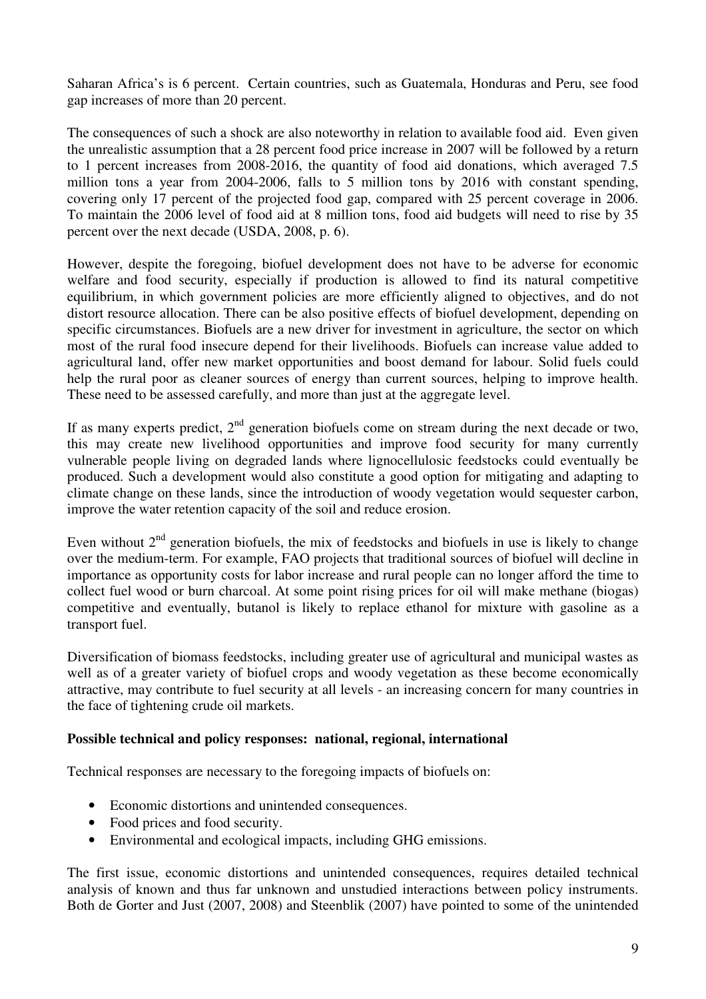Saharan Africa's is 6 percent. Certain countries, such as Guatemala, Honduras and Peru, see food gap increases of more than 20 percent.

The consequences of such a shock are also noteworthy in relation to available food aid. Even given the unrealistic assumption that a 28 percent food price increase in 2007 will be followed by a return to 1 percent increases from 2008-2016, the quantity of food aid donations, which averaged 7.5 million tons a year from 2004-2006, falls to 5 million tons by 2016 with constant spending, covering only 17 percent of the projected food gap, compared with 25 percent coverage in 2006. To maintain the 2006 level of food aid at 8 million tons, food aid budgets will need to rise by 35 percent over the next decade (USDA, 2008, p. 6).

However, despite the foregoing, biofuel development does not have to be adverse for economic welfare and food security, especially if production is allowed to find its natural competitive equilibrium, in which government policies are more efficiently aligned to objectives, and do not distort resource allocation. There can be also positive effects of biofuel development, depending on specific circumstances. Biofuels are a new driver for investment in agriculture, the sector on which most of the rural food insecure depend for their livelihoods. Biofuels can increase value added to agricultural land, offer new market opportunities and boost demand for labour. Solid fuels could help the rural poor as cleaner sources of energy than current sources, helping to improve health. These need to be assessed carefully, and more than just at the aggregate level.

If as many experts predict,  $2<sup>nd</sup>$  generation biofuels come on stream during the next decade or two, this may create new livelihood opportunities and improve food security for many currently vulnerable people living on degraded lands where lignocellulosic feedstocks could eventually be produced. Such a development would also constitute a good option for mitigating and adapting to climate change on these lands, since the introduction of woody vegetation would sequester carbon, improve the water retention capacity of the soil and reduce erosion.

Even without  $2<sup>nd</sup>$  generation biofuels, the mix of feedstocks and biofuels in use is likely to change over the medium-term. For example, FAO projects that traditional sources of biofuel will decline in importance as opportunity costs for labor increase and rural people can no longer afford the time to collect fuel wood or burn charcoal. At some point rising prices for oil will make methane (biogas) competitive and eventually, butanol is likely to replace ethanol for mixture with gasoline as a transport fuel.

Diversification of biomass feedstocks, including greater use of agricultural and municipal wastes as well as of a greater variety of biofuel crops and woody vegetation as these become economically attractive, may contribute to fuel security at all levels - an increasing concern for many countries in the face of tightening crude oil markets.

# **Possible technical and policy responses: national, regional, international**

Technical responses are necessary to the foregoing impacts of biofuels on:

- Economic distortions and unintended consequences.
- Food prices and food security.
- Environmental and ecological impacts, including GHG emissions.

The first issue, economic distortions and unintended consequences, requires detailed technical analysis of known and thus far unknown and unstudied interactions between policy instruments. Both de Gorter and Just (2007, 2008) and Steenblik (2007) have pointed to some of the unintended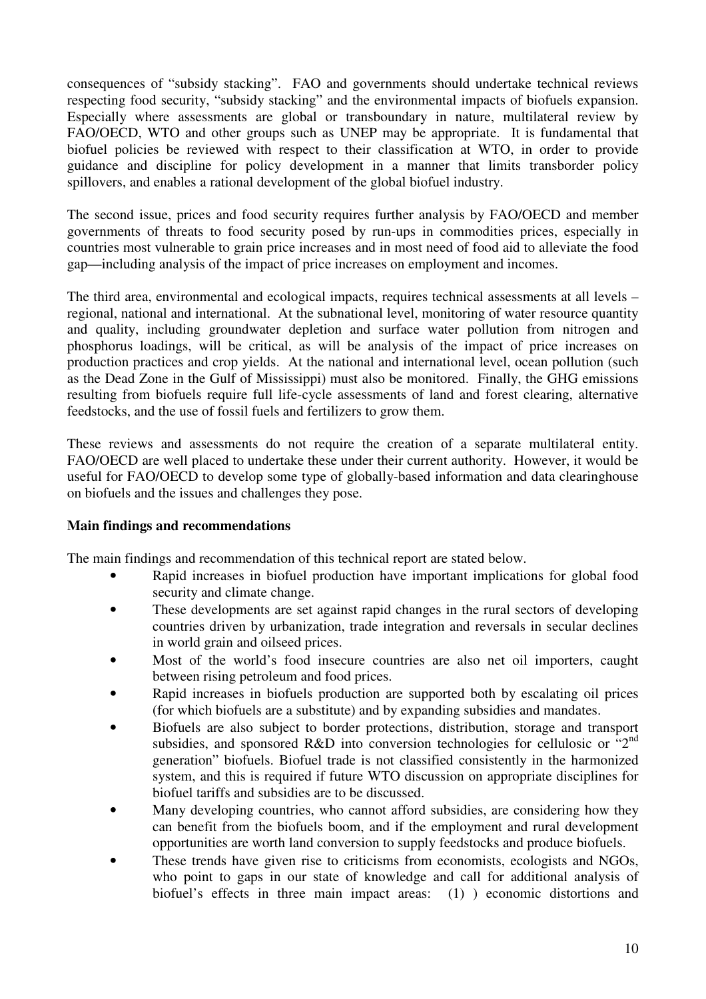consequences of "subsidy stacking". FAO and governments should undertake technical reviews respecting food security, "subsidy stacking" and the environmental impacts of biofuels expansion. Especially where assessments are global or transboundary in nature, multilateral review by FAO/OECD, WTO and other groups such as UNEP may be appropriate. It is fundamental that biofuel policies be reviewed with respect to their classification at WTO, in order to provide guidance and discipline for policy development in a manner that limits transborder policy spillovers, and enables a rational development of the global biofuel industry.

The second issue, prices and food security requires further analysis by FAO/OECD and member governments of threats to food security posed by run-ups in commodities prices, especially in countries most vulnerable to grain price increases and in most need of food aid to alleviate the food gap—including analysis of the impact of price increases on employment and incomes.

The third area, environmental and ecological impacts, requires technical assessments at all levels – regional, national and international. At the subnational level, monitoring of water resource quantity and quality, including groundwater depletion and surface water pollution from nitrogen and phosphorus loadings, will be critical, as will be analysis of the impact of price increases on production practices and crop yields. At the national and international level, ocean pollution (such as the Dead Zone in the Gulf of Mississippi) must also be monitored. Finally, the GHG emissions resulting from biofuels require full life-cycle assessments of land and forest clearing, alternative feedstocks, and the use of fossil fuels and fertilizers to grow them.

These reviews and assessments do not require the creation of a separate multilateral entity. FAO/OECD are well placed to undertake these under their current authority. However, it would be useful for FAO/OECD to develop some type of globally-based information and data clearinghouse on biofuels and the issues and challenges they pose.

# **Main findings and recommendations**

The main findings and recommendation of this technical report are stated below.

- Rapid increases in biofuel production have important implications for global food security and climate change.
- These developments are set against rapid changes in the rural sectors of developing countries driven by urbanization, trade integration and reversals in secular declines in world grain and oilseed prices.
- Most of the world's food insecure countries are also net oil importers, caught between rising petroleum and food prices.
- Rapid increases in biofuels production are supported both by escalating oil prices (for which biofuels are a substitute) and by expanding subsidies and mandates.
- Biofuels are also subject to border protections, distribution, storage and transport subsidies, and sponsored R&D into conversion technologies for cellulosic or " $2<sup>nd</sup>$ generation" biofuels. Biofuel trade is not classified consistently in the harmonized system, and this is required if future WTO discussion on appropriate disciplines for biofuel tariffs and subsidies are to be discussed.
- Many developing countries, who cannot afford subsidies, are considering how they can benefit from the biofuels boom, and if the employment and rural development opportunities are worth land conversion to supply feedstocks and produce biofuels.
- These trends have given rise to criticisms from economists, ecologists and NGOs, who point to gaps in our state of knowledge and call for additional analysis of biofuel's effects in three main impact areas: (1) ) economic distortions and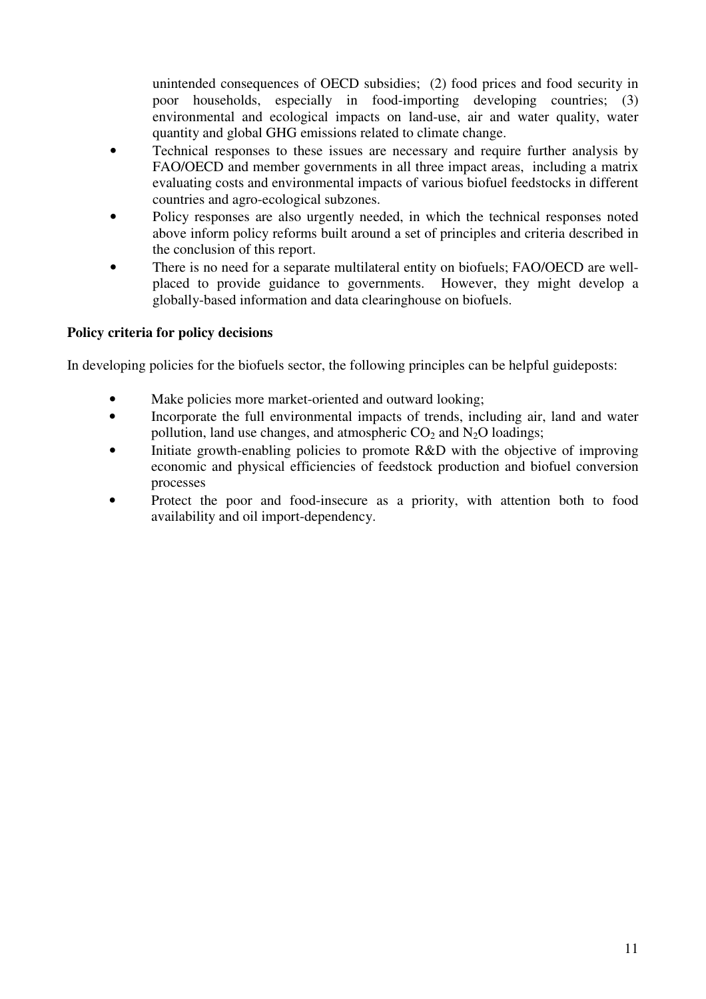unintended consequences of OECD subsidies; (2) food prices and food security in poor households, especially in food-importing developing countries; (3) environmental and ecological impacts on land-use, air and water quality, water quantity and global GHG emissions related to climate change.

- Technical responses to these issues are necessary and require further analysis by FAO/OECD and member governments in all three impact areas, including a matrix evaluating costs and environmental impacts of various biofuel feedstocks in different countries and agro-ecological subzones.
- Policy responses are also urgently needed, in which the technical responses noted above inform policy reforms built around a set of principles and criteria described in the conclusion of this report.
- There is no need for a separate multilateral entity on biofuels; FAO/OECD are wellplaced to provide guidance to governments. However, they might develop a globally-based information and data clearinghouse on biofuels.

# **Policy criteria for policy decisions**

In developing policies for the biofuels sector, the following principles can be helpful guideposts:

- Make policies more market-oriented and outward looking;
- Incorporate the full environmental impacts of trends, including air, land and water pollution, land use changes, and atmospheric  $CO<sub>2</sub>$  and  $N<sub>2</sub>O$  loadings;
- Initiate growth-enabling policies to promote R&D with the objective of improving economic and physical efficiencies of feedstock production and biofuel conversion processes
- Protect the poor and food-insecure as a priority, with attention both to food availability and oil import-dependency.